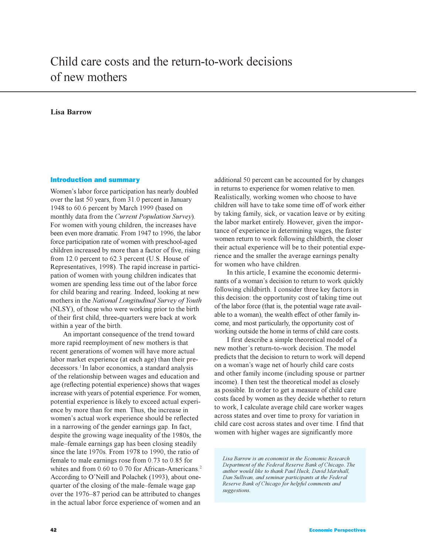# **Lisa Barrow**

# Introduction and summary

Women's labor force participation has nearly doubled over the last 50 years, from 31.0 percent in January 1948 to 60.6 percent by March 1999 (based on monthly data from the *Current Population Survey*). For women with young children, the increases have been even more dramatic. From 1947 to 1996, the labor force participation rate of women with preschool-aged children increased by more than a factor of five, rising from 12.0 percent to 62.3 percent (U.S. House of Representatives, 1998). The rapid increase in participation of women with young children indicates that women are spending less time out of the labor force for child bearing and rearing. Indeed, looking at new mothers in the *National Longitudinal Survey of Youth* (NLSY), of those who were working prior to the birth of their first child, three-quarters were back at work within a year of the birth.

An important consequence of the trend toward more rapid reemployment of new mothers is that recent generations of women will have more actual labor market experience (at each age) than their predecessors.<sup>1</sup>In labor economics, a standard analysis of the relationship between wages and education and age (reflecting potential experience) shows that wages increase with years of potential experience. For women, potential experience is likely to exceed actual experience by more than for men. Thus, the increase in women's actual work experience should be reflected in a narrowing of the gender earnings gap. In fact, despite the growing wage inequality of the 1980s, the male–female earnings gap has been closing steadily since the late 1970s. From 1978 to 1990, the ratio of female to male earnings rose from 0.73 to 0.85 for whites and from 0.60 to 0.70 for African-Americans.<sup>2</sup> According to O'Neill and Polachek (1993), about onequarter of the closing of the male–female wage gap over the 1976–87 period can be attributed to changes in the actual labor force experience of women and an

additional 50 percent can be accounted for by changes in returns to experience for women relative to men. Realistically, working women who choose to have children will have to take some time off of work either by taking family, sick, or vacation leave or by exiting the labor market entirely. However, given the importance of experience in determining wages, the faster women return to work following childbirth, the closer their actual experience will be to their potential experience and the smaller the average earnings penalty for women who have children.

In this article, I examine the economic determinants of a woman's decision to return to work quickly following childbirth. I consider three key factors in this decision: the opportunity cost of taking time out of the labor force (that is, the potential wage rate available to a woman), the wealth effect of other family income, and most particularly, the opportunity cost of working outside the home in terms of child care costs.

I first describe a simple theoretical model of a new mother's return-to-work decision. The model predicts that the decision to return to work will depend on a woman's wage net of hourly child care costs and other family income (including spouse or partner income). I then test the theoretical model as closely as possible. In order to get a measure of child care costs faced by women as they decide whether to return to work, I calculate average child care worker wages across states and over time to proxy for variation in child care cost across states and over time. I find that women with higher wages are significantly more

*Lisa Barrow is an economist in the Economic Research Department of the Federal Reserve Bank of Chicago. The author would like to thank Paul Huck, David Marshall, Dan Sullivan, and seminar participants at the Federal Reserve Bank of Chicago for helpful comments and suggestions.*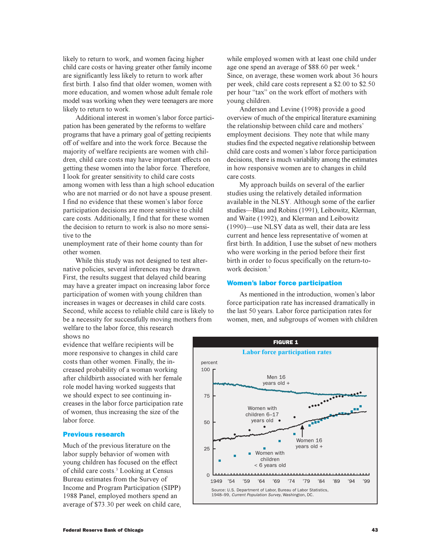likely to return to work, and women facing higher child care costs or having greater other family income are significantly less likely to return to work after first birth. I also find that older women, women with more education, and women whose adult female role model was working when they were teenagers are more likely to return to work.

Additional interest in women's labor force participation has been generated by the reforms to welfare programs that have a primary goal of getting recipients off of welfare and into the work force. Because the majority of welfare recipients are women with children, child care costs may have important effects on getting these women into the labor force. Therefore, I look for greater sensitivity to child care costs among women with less than a high school education who are not married or do not have a spouse present. I find no evidence that these women's labor force participation decisions are more sensitive to child care costs. Additionally, I find that for these women the decision to return to work is also no more sensitive to the

unemployment rate of their home county than for other women.

While this study was not designed to test alternative policies, several inferences may be drawn. First, the results suggest that delayed child bearing may have a greater impact on increasing labor force participation of women with young children than increases in wages or decreases in child care costs. Second, while access to reliable child care is likely to be a necessity for successfully moving mothers from welfare to the labor force, this research shows no

evidence that welfare recipients will be more responsive to changes in child care costs than other women. Finally, the increased probability of a woman working after childbirth associated with her female role model having worked suggests that we should expect to see continuing increases in the labor force participation rate of women, thus increasing the size of the labor force.

#### Previous research

Much of the previous literature on the labor supply behavior of women with young children has focused on the effect of child care costs.<sup>3</sup> Looking at Census Bureau estimates from the Survey of Income and Program Participation (SIPP) 1988 Panel, employed mothers spend an average of \$73.30 per week on child care,

while employed women with at least one child under age one spend an average of \$88.60 per week.<sup>4</sup> Since, on average, these women work about 36 hours per week, child care costs represent a \$2.00 to \$2.50 per hour "tax" on the work effort of mothers with young children.

Anderson and Levine (1998) provide a good overview of much of the empirical literature examining the relationship between child care and mothers employment decisions. They note that while many studies find the expected negative relationship between child care costs and women's labor force participation decisions, there is much variability among the estimates in how responsive women are to changes in child care costs.

My approach builds on several of the earlier studies using the relatively detailed information available in the NLSY. Although some of the earlier studies—Blau and Robins (1991), Leibowitz, Klerman, and Waite (1992), and Klerman and Leibowitz  $(1990)$ —use NLSY data as well, their data are less current and hence less representative of women at first birth. In addition, I use the subset of new mothers who were working in the period before their first birth in order to focus specifically on the return-towork decision $<sup>5</sup>$ </sup>

#### Women's labor force participation

As mentioned in the introduction, women's labor force participation rate has increased dramatically in the last 50 years. Labor force participation rates for women, men, and subgroups of women with children

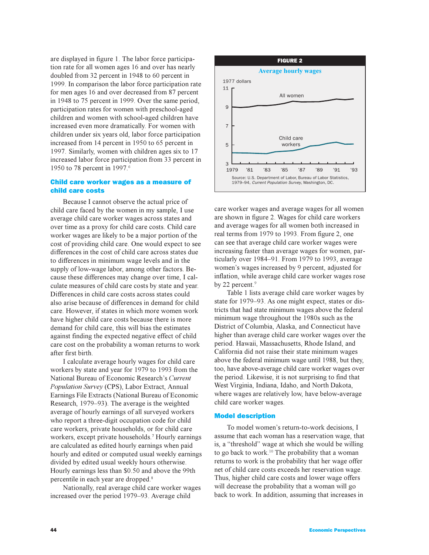are displayed in figure 1. The labor force participation rate for all women ages 16 and over has nearly doubled from 32 percent in 1948 to 60 percent in 1999. In comparison the labor force participation rate for men ages 16 and over decreased from 87 percent in 1948 to 75 percent in 1999. Over the same period, participation rates for women with preschool-aged children and women with school-aged children have increased even more dramatically. For women with children under six years old, labor force participation increased from 14 percent in 1950 to 65 percent in 1997. Similarly, women with children ages six to 17 increased labor force participation from 33 percent in 1950 to 78 percent in 1997.<sup>6</sup>

# Child care worker wages as a measure of child care costs

Because I cannot observe the actual price of child care faced by the women in my sample, I use average child care worker wages across states and over time as a proxy for child care costs. Child care worker wages are likely to be a major portion of the cost of providing child care. One would expect to see differences in the cost of child care across states due to differences in minimum wage levels and in the supply of low-wage labor, among other factors. Because these differences may change over time, I calculate measures of child care costs by state and year. Differences in child care costs across states could also arise because of differences in demand for child care. However, if states in which more women work have higher child care costs because there is more demand for child care, this will bias the estimates against finding the expected negative effect of child care cost on the probability a woman returns to work after first birth.

I calculate average hourly wages for child care workers by state and year for 1979 to 1993 from the National Bureau of Economic Research's Current *Population Survey* (CPS), Labor Extract, Annual Earnings File Extracts (National Bureau of Economic Research, 1979–93). The average is the weighted average of hourly earnings of all surveyed workers who report a three-digit occupation code for child care workers, private households, or for child care workers, except private households.<sup>7</sup> Hourly earnings are calculated as edited hourly earnings when paid hourly and edited or computed usual weekly earnings divided by edited usual weekly hours otherwise. Hourly earnings less than \$0.50 and above the 99th percentile in each year are dropped.<sup>8</sup>

Nationally, real average child care worker wages increased over the period 1979–93. Average child



care worker wages and average wages for all women are shown in figure 2. Wages for child care workers and average wages for all women both increased in real terms from 1979 to 1993. From figure 2, one can see that average child care worker wages were increasing faster than average wages for women, particularly over 1984–91. From 1979 to 1993, average women's wages increased by 9 percent, adjusted for inflation, while average child care worker wages rose by 22 percent.<sup>9</sup>

Table 1 lists average child care worker wages by state for 1979–93. As one might expect, states or districts that had state minimum wages above the federal minimum wage throughout the 1980s such as the District of Columbia, Alaska, and Connecticut have higher than average child care worker wages over the period. Hawaii, Massachusetts, Rhode Island, and California did not raise their state minimum wages above the federal minimum wage until 1988, but they, too, have above-average child care worker wages over the period. Likewise, it is not surprising to find that West Virginia, Indiana, Idaho, and North Dakota, where wages are relatively low, have below-average child care worker wages.

#### Model description

To model women's return-to-work decisions, I assume that each woman has a reservation wage, that is, a "threshold" wage at which she would be willing to go back to work.<sup>10</sup> The probability that a woman returns to work is the probability that her wage offer net of child care costs exceeds her reservation wage. Thus, higher child care costs and lower wage offers will decrease the probability that a woman will go back to work. In addition, assuming that increases in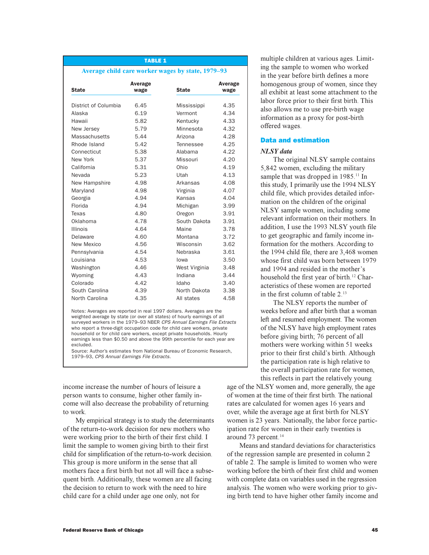#### TABLE 1

#### Average child care worker wages by state, 1979-93

| <b>State</b>         | Average<br>wage | <b>State</b>  | Average<br>wage |
|----------------------|-----------------|---------------|-----------------|
| District of Columbia | 6.45            | Mississippi   | 4.35            |
| Alaska               | 6.19            | Vermont       | 4.34            |
| Hawaii               | 5.82            | Kentucky      | 4.33            |
| New Jersey           | 5.79            | Minnesota     | 4.32            |
| <b>Massachusetts</b> | 5.44            | Arizona       | 4.28            |
| Rhode Island         | 5.42            | Tennessee     | 4.25            |
| Connecticut          | 5.38            | Alabama       | 4.22            |
| New York             | 5.37            | Missouri      | 4.20            |
| California           | 5.31            | Ohio          | 4.19            |
| Nevada               | 5.23            | Utah          | 4.13            |
| New Hampshire        | 4.98            | Arkansas      | 4.08            |
| Maryland             | 4.98            | Virginia      | 4.07            |
| Georgia              | 4.94            | Kansas        | 4.04            |
| Florida              | 4.94            | Michigan      | 3.99            |
| Texas                | 4.80            | Oregon        | 3.91            |
| Oklahoma             | 4.78            | South Dakota  | 3.91            |
| <b>Illinois</b>      | 4.64            | Maine         | 3.78            |
| Delaware             | 4.60            | Montana       | 3.72            |
| New Mexico           | 4.56            | Wisconsin     | 3.62            |
| Pennsylvania         | 4.54            | Nebraska      | 3.61            |
| Louisiana            | 4.53            | lowa          | 3.50            |
| Washington           | 4.46            | West Virginia | 3.48            |
| Wyoming              | 4.43            | Indiana       | 3.44            |
| Colorado             | 4.42            | Idaho         | 3.40            |
| South Carolina       | 4.39            | North Dakota  | 3.38            |
| North Carolina       | 4.35            | All states    | 4.58            |

Notes: Averages are reported in real 1997 dollars. Averages are the weighted average by state (or over all states) of hourly earnings of all surveyed workers in the 1979–93 NBER CPS Annual Earnings File Extracts who report a three-digit occupation code for child care workers, private household or for child care workers, except private households. Hourly earnings less than \$0.50 and above the 99th percentile for each year are excluded.

Source: Author's estimates from National Bureau of Economic Research, 1979–93, CPS Annual Earnings File Extracts.

income increase the number of hours of leisure a person wants to consume, higher other family income will also decrease the probability of returning to work.

My empirical strategy is to study the determinants of the return-to-work decision for new mothers who were working prior to the birth of their first child. I limit the sample to women giving birth to their first child for simplification of the return-to-work decision. This group is more uniform in the sense that all mothers face a first birth but not all will face a subsequent birth. Additionally, these women are all facing the decision to return to work with the need to hire child care for a child under age one only, not for

multiple children at various ages. Limiting the sample to women who worked in the year before birth defines a more homogenous group of women, since they all exhibit at least some attachment to the labor force prior to their first birth. This also allows me to use pre-birth wage information as a proxy for post-birth offered wages.

# Data and estimation

#### *NLSY data*

The original NLSY sample contains 5,842 women, excluding the military sample that was dropped in 1985.<sup>11</sup> In this study, I primarily use the 1994 NLSY child file, which provides detailed information on the children of the original NLSY sample women, including some relevant information on their mothers. In addition, I use the 1993 NLSY youth file to get geographic and family income information for the mothers. According to the 1994 child file, there are 3,468 women whose first child was born between 1979 and 1994 and resided in the mother's household the first year of birth.<sup>12</sup> Characteristics of these women are reported in the first column of table  $2^{13}$ 

The NLSY reports the number of weeks before and after birth that a woman left and resumed employment. The women of the NLSY have high employment rates before giving birth; 76 percent of all mothers were working within 51 weeks prior to their first child's birth. Although the participation rate is high relative to the overall participation rate for women, this reflects in part the relatively young

age of the NLSY women and, more generally, the age of women at the time of their first birth. The national rates are calculated for women ages 16 years and over, while the average age at first birth for NLSY women is 23 years. Nationally, the labor force participation rate for women in their early twenties is around 73 percent. $14$ 

Means and standard deviations for characteristics of the regression sample are presented in column 2 of table 2. The sample is limited to women who were working before the birth of their first child and women with complete data on variables used in the regression analysis. The women who were working prior to giving birth tend to have higher other family income and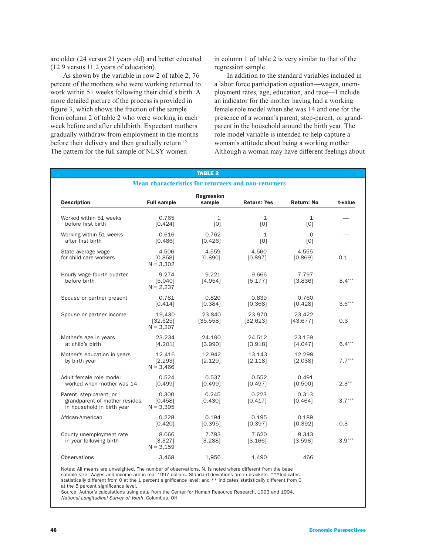are older (24 versus 21 years old) and better educated (12.9 versus 11.2 years of education).

As shown by the variable in row 2 of table 2, 76 percent of the mothers who were working returned to work within 51 weeks following their child's birth. A more detailed picture of the process is provided in figure 3, which shows the fraction of the sample from column 2 of table 2 who were working in each week before and after childbirth. Expectant mothers gradually withdraw from employment in the months before their delivery and then gradually return.<sup>15</sup> The pattern for the full sample of NLSY women

in column 1 of table 2 is very similar to that of the regression sample.

In addition to the standard variables included in a labor force participation equation—wages, unemployment rates, age, education, and race—I include an indicator for the mother having had a working female role model when she was 14 and one for the presence of a woman's parent, step-parent, or grandparent in the household around the birth year. The role model variable is intended to help capture a woman's attitude about being a working mother. Although a woman may have different feelings about

| <b>TABLE 2</b>                                                                         |                                    |                             |                     |                     |          |  |
|----------------------------------------------------------------------------------------|------------------------------------|-----------------------------|---------------------|---------------------|----------|--|
| <b>Mean characteristics for returners and non-returners</b>                            |                                    |                             |                     |                     |          |  |
| <b>Description</b>                                                                     | <b>Full sample</b>                 | <b>Regression</b><br>sample | <b>Return: Yes</b>  | <b>Return: No</b>   | t-value  |  |
| Worked within 51 weeks<br>before first birth                                           | 0.765<br>[0.424]                   | $\mathbf{1}$<br>[0]         | $\mathbf{1}$<br>[0] | $\mathbf 1$<br>[0]  |          |  |
| Working within 51 weeks<br>after first birth                                           | 0.616<br>[0.486]                   | 0.762<br>[0.426]            | $\mathbf{1}$<br>[0] | $\Omega$<br>[0]     |          |  |
| State average wage<br>for child care workers                                           | 4.506<br>[0.858]<br>$N = 3,302$    | 4.559<br>[0.890]            | 4.560<br>[0.897]    | 4.555<br>[0.869]    | 0.1      |  |
| Hourly wage fourth quarter<br>before birth                                             | 9.274<br>[5.040]<br>$N = 2,237$    | 9.221<br>[4.954]            | 9.666<br>[5.177]    | 7.797<br>[3.836]    | $8.4***$ |  |
| Spouse or partner present                                                              | 0.781<br>[0.414]                   | 0.820<br>[0.384]            | 0.839<br>[0.368]    | 0.760<br>[0.428]    | $3.6***$ |  |
| Spouse or partner income                                                               | 19,430<br>[32, 625]<br>$N = 3,207$ | 23,840<br>[35, 558]         | 23,970<br>[32, 623] | 23,422<br>[43, 677] | 0.3      |  |
| Mother's age in years<br>at child's birth                                              | 23.234<br>[4.201]                  | 24.190<br>[3.990]           | 24.512<br>[3.918]   | 23.159<br>[4.047]   | $6.4***$ |  |
| Mother's education in years<br>by birth year                                           | 12.416<br>[2.293]<br>$N = 3,466$   | 12.942<br>[2.129]           | 13.143<br>[2.118]   | 12.298<br>[2.038]   | $7.7***$ |  |
| Adult female role model<br>worked when mother was 14                                   | 0.524<br>[0.499]                   | 0.537<br>[0.499]            | 0.552<br>[0.497]    | 0.491<br>[0.500]    | $2.3***$ |  |
| Parent, step-parent, or<br>grandparent of mother resides<br>in household in birth year | 0.300<br>[0.458]<br>$N = 3,395$    | 0.245<br>[0.430]            | 0.223<br>[0.417]    | 0.313<br>[0.464]    | $3.7***$ |  |
| African-American                                                                       | 0.228<br>[0.420]                   | 0.194<br>[0.395]            | 0.195<br>[0.397]    | 0.189<br>[0.392]    | 0.3      |  |
| County unemployment rate<br>in year following birth                                    | 8.066<br>[3.327]<br>$N = 3,159$    | 7.793<br>[3.288]            | 7.620<br>[3.166]    | 8.343<br>[3.598]    | $3.9***$ |  |
| Observations                                                                           | 3.468                              | 1,956                       | 1.490               | 466                 |          |  |

Notes: All means are unweighted. The number of observations, N, is noted where different from the base sample size. Wages and income are in real 1997 dollars. Standard deviations are in brackets. \*\*\*Indicates statistically different from 0 at the 1 percent significance level; and \*\* indicates statistically different from 0 at the 5 percent significance level.

Source: Author's calculations using data from the Center for Human Resource Research, 1993 and 1994, National Longitudinal Survey of Youth, Columbus, OH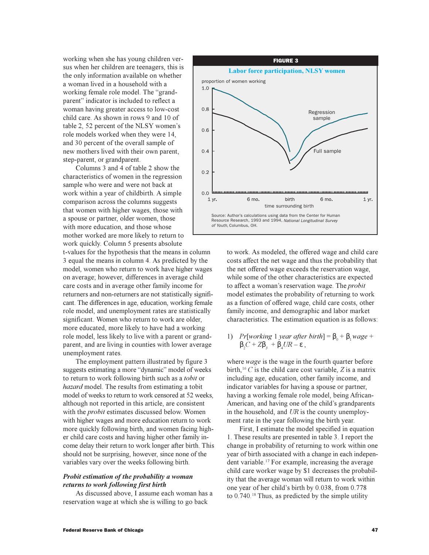working when she has young children versus when her children are teenagers, this is the only information available on whether a woman lived in a household with a working female role model. The "grandparent" indicator is included to reflect a woman having greater access to low-cost child care. As shown in rows 9 and 10 of table 2, 52 percent of the NLSY women's role models worked when they were 14, and 30 percent of the overall sample of new mothers lived with their own parent, step-parent, or grandparent.

Columns 3 and 4 of table 2 show the characteristics of women in the regression sample who were and were not back at work within a year of childbirth. A simple comparison across the columns suggests that women with higher wages, those with a spouse or partner, older women, those with more education, and those whose mother worked are more likely to return to work quickly. Column 5 presents absolute

t-values for the hypothesis that the means in column 3 equal the means in column 4. As predicted by the model, women who return to work have higher wages on average; however, differences in average child care costs and in average other family income for returners and non-returners are not statistically significant. The differences in age, education, working female role model, and unemployment rates are statistically significant. Women who return to work are older, more educated, more likely to have had a working role model, less likely to live with a parent or grandparent, and are living in counties with lower average unemployment rates.

The employment pattern illustrated by figure 3 suggests estimating a more "dynamic" model of weeks to return to work following birth such as a *tobit* or *hazard* model. The results from estimating a tobit model of weeks to return to work censored at 52 weeks, although not reported in this article, are consistent with the *probit* estimates discussed below. Women with higher wages and more education return to work more quickly following birth, and women facing higher child care costs and having higher other family income delay their return to work longer after birth. This should not be surprising, however, since none of the variables vary over the weeks following birth.

# *Probit estimation of the probability a woman returns to work following first birth*

As discussed above, I assume each woman has a reservation wage at which she is willing to go back



to work. As modeled, the offered wage and child care costs affect the net wage and thus the probability that the net offered wage exceeds the reservation wage, while some of the other characteristics are expected to affect a woman's reservation wage. The *probit* model estimates the probability of returning to work as a function of offered wage, child care costs, other family income, and demographic and labor market characteristics. The estimation equation is as follows:

1) *Pr*[*working* 1 *year after birth*] =  $\beta_0 + \beta_1$ *wage* +  $β<sub>2</sub>C + Zβ<sub>3</sub> + β<sub>4</sub>UR - ε,$ 

where *wage* is the wage in the fourth quarter before birth,<sup>16</sup>  $C$  is the child care cost variable,  $Z$  is a matrix including age, education, other family income, and indicator variables for having a spouse or partner, having a working female role model, being African-American, and having one of the child's grandparents in the household, and *UR* is the county unemployment rate in the year following the birth year.

First, I estimate the model specified in equation 1. These results are presented in table 3. I report the change in probability of returning to work within one year of birth associated with a change in each independent variable.<sup>17</sup> For example, increasing the average child care worker wage by \$1 decreases the probability that the average woman will return to work within one year of her child's birth by 0.038, from 0.778 to  $0.740$ .<sup>18</sup> Thus, as predicted by the simple utility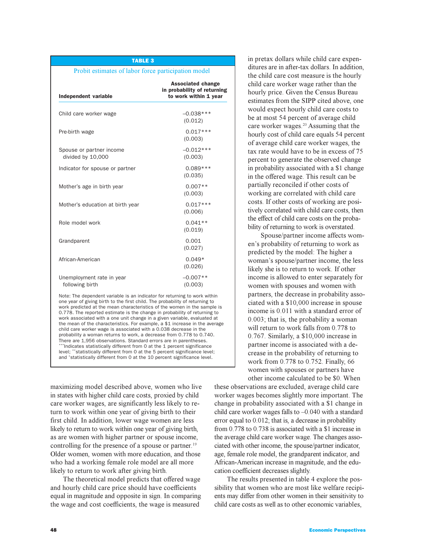#### TABLE 3

#### Probit estimates of labor force participation model

| Independent variable                          | <b>Associated change</b><br>in probability of returning<br>to work within 1 year |
|-----------------------------------------------|----------------------------------------------------------------------------------|
| Child care worker wage                        | $-0.038***$<br>(0.012)                                                           |
| Pre-birth wage                                | $0.017***$<br>(0.003)                                                            |
| Spouse or partner income<br>divided by 10,000 | $-0.012***$<br>(0.003)                                                           |
| Indicator for spouse or partner               | $0.089***$<br>(0.035)                                                            |
| Mother's age in birth year                    | $0.007**$<br>(0.003)                                                             |
| Mother's education at birth year              | $0.017***$<br>(0.006)                                                            |
| Role model work                               | $0.041**$<br>(0.019)                                                             |
| Grandparent                                   | 0.001<br>(0.027)                                                                 |
| African-American                              | $0.049*$<br>(0.026)                                                              |
| Unemployment rate in year<br>following birth  | $-0.007**$<br>(0.003)                                                            |

Note: The dependent variable is an indicator for returning to work within one year of giving birth to the first child. The probability of returning to work predicted at the mean characteristics of the women in the sample is 0.778. The reported estimate is the change in probability of returning to work associated with a one unit change in a given variable, evaluated at the mean of the characteristics. For example, a \$1 increase in the average child care worker wage is associated with a 0.038 decrease in the probability a woman returns to work, a decrease from 0.778 to 0.740. There are 1,956 observations. Standard errors are in parentheses. \*\*\*Indicates statistically different from 0 at the 1 percent significance level; \*\*statistically different from 0 at the 5 percent significance level; and \* statistically different from 0 at the 10 percent significance level.

maximizing model described above, women who live in states with higher child care costs, proxied by child care worker wages, are significantly less likely to return to work within one year of giving birth to their first child. In addition, lower wage women are less likely to return to work within one year of giving birth, as are women with higher partner or spouse income, controlling for the presence of a spouse or partner.<sup>19</sup> Older women, women with more education, and those who had a working female role model are all more likely to return to work after giving birth.

The theoretical model predicts that offered wage and hourly child care price should have coefficients equal in magnitude and opposite in sign. In comparing the wage and cost coefficients, the wage is measured

in pretax dollars while child care expenditures are in after-tax dollars. In addition, the child care cost measure is the hourly child care worker wage rather than the hourly price. Given the Census Bureau estimates from the SIPP cited above, one would expect hourly child care costs to be at most 54 percent of average child care worker wages.<sup>20</sup> Assuming that the hourly cost of child care equals 54 percent of average child care worker wages, the tax rate would have to be in excess of 75 percent to generate the observed change in probability associated with a \$1 change in the offered wage. This result can be partially reconciled if other costs of working are correlated with child care costs. If other costs of working are positively correlated with child care costs, then the effect of child care costs on the probability of returning to work is overstated.

Spouse/partner income affects women's probability of returning to work as predicted by the model: The higher a woman's spouse/partner income, the less likely she is to return to work. If other income is allowed to enter separately for women with spouses and women with partners, the decrease in probability associated with a \$10,000 increase in spouse income is 0.011 with a standard error of 0.003; that is, the probability a woman will return to work falls from 0.778 to 0.767. Similarly, a \$10,000 increase in partner income is associated with a decrease in the probability of returning to work from 0.778 to 0.752. Finally, 66 women with spouses or partners have other income calculated to be \$0. When

these observations are excluded, average child care worker wages becomes slightly more important. The change in probability associated with a \$1 change in child care worker wages falls to  $-0.040$  with a standard error equal to 0.012; that is, a decrease in probability from 0.778 to 0.738 is associated with a \$1 increase in the average child care worker wage. The changes associated with other income, the spouse/partner indicator, age, female role model, the grandparent indicator, and African-American increase in magnitude, and the education coefficient decreases slightly.

The results presented in table 4 explore the possibility that women who are most like welfare recipients may differ from other women in their sensitivity to child care costs as well as to other economic variables,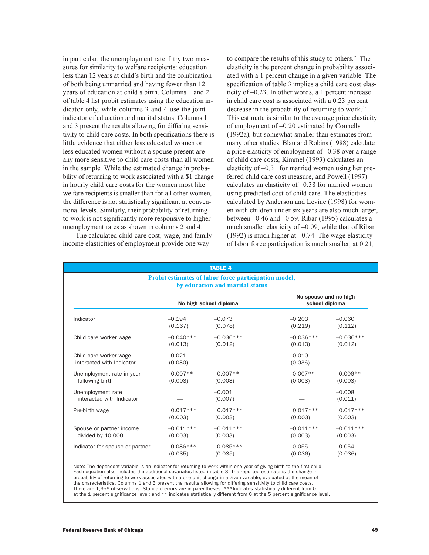in particular, the unemployment rate. I try two measures for similarity to welfare recipients: education less than 12 years at child's birth and the combination of both being unmarried and having fewer than 12 years of education at child's birth. Columns 1 and 2 of table 4 list probit estimates using the education indicator only, while columns 3 and 4 use the joint indicator of education and marital status. Columns 1 and 3 present the results allowing for differing sensitivity to child care costs. In both specifications there is little evidence that either less educated women or less educated women without a spouse present are any more sensitive to child care costs than all women in the sample. While the estimated change in probability of returning to work associated with a \$1 change in hourly child care costs for the women most like welfare recipients is smaller than for all other women, the difference is not statistically significant at conventional levels. Similarly, their probability of returning to work is not significantly more responsive to higher unemployment rates as shown in columns 2 and 4.

The calculated child care cost, wage, and family income elasticities of employment provide one way

to compare the results of this study to others.<sup>21</sup> The elasticity is the percent change in probability associated with a 1 percent change in a given variable. The specification of table 3 implies a child care cost elasticity of  $-0.23$ . In other words, a 1 percent increase in child care cost is associated with a 0.23 percent decrease in the probability of returning to work.<sup>22</sup> This estimate is similar to the average price elasticity of employment of  $-0.20$  estimated by Connelly (1992a), but somewhat smaller than estimates from many other studies. Blau and Robins (1988) calculate a price elasticity of employment of  $-0.38$  over a range of child care costs, Kimmel (1993) calculates an elasticity of  $-0.31$  for married women using her preferred child care cost measure, and Powell (1997) calculates an elasticity of  $-0.38$  for married women using predicted cost of child care. The elasticities calculated by Anderson and Levine (1998) for women with children under six years are also much larger, between  $-0.46$  and  $-0.59$ . Ribar (1995) calculates a much smaller elasticity of  $-0.09$ , while that of Ribar (1992) is much higher at  $-0.74$ . The wage elasticity of labor force participation is much smaller, at 0.21,

| <b>TABLE 4</b>                                                                          |                        |                     |                  |                                         |  |  |  |
|-----------------------------------------------------------------------------------------|------------------------|---------------------|------------------|-----------------------------------------|--|--|--|
| Probit estimates of labor force participation model,<br>by education and marital status |                        |                     |                  |                                         |  |  |  |
|                                                                                         | No high school diploma |                     |                  | No spouse and no high<br>school diploma |  |  |  |
| Indicator                                                                               | $-0.194$               | $-0.073$            | $-0.203$         | $-0.060$                                |  |  |  |
|                                                                                         | (0.167)                | (0.078)             | (0.219)          | (0.112)                                 |  |  |  |
| Child care worker wage                                                                  | $-0.040***$            | $-0.036***$         | $-0.036***$      | $-0.036***$                             |  |  |  |
|                                                                                         | (0.013)                | (0.012)             | (0.013)          | (0.012)                                 |  |  |  |
| Child care worker wage<br>interacted with Indicator                                     | 0.021<br>(0.030)       |                     | 0.010<br>(0.036) |                                         |  |  |  |
| Unemployment rate in year                                                               | $-0.007**$             | $-0.007**$          | $-0.007**$       | $-0.006**$                              |  |  |  |
| following birth                                                                         | (0.003)                | (0.003)             | (0.003)          | (0.003)                                 |  |  |  |
| Unemployment rate<br>interacted with Indicator                                          |                        | $-0.001$<br>(0.007) |                  | $-0.008$<br>(0.011)                     |  |  |  |
| Pre-birth wage                                                                          | $0.017***$             | $0.017***$          | $0.017***$       | $0.017***$                              |  |  |  |
|                                                                                         | (0.003)                | (0.003)             | (0.003)          | (0.003)                                 |  |  |  |
| Spouse or partner income                                                                | $-0.011***$            | $-0.011***$         | $-0.011***$      | $-0.011***$                             |  |  |  |
| divided by 10,000                                                                       | (0.003)                | (0.003)             | (0.003)          | (0.003)                                 |  |  |  |
| Indicator for spouse or partner                                                         | $0.086***$             | $0.085***$          | 0.055            | 0.054                                   |  |  |  |
|                                                                                         | (0.035)                | (0.035)             | (0.036)          | (0.036)                                 |  |  |  |

Note: The dependent variable is an indicator for returning to work within one year of giving birth to the first child. Each equation also includes the additional covariates listed in table 3. The reported estimate is the change in probability of returning to work associated with a one unit change in a given variable, evaluated at the mean of the characteristics. Columns 1 and 3 present the results allowing for differing sensitivity to child care costs. There are 1,956 observations. Standard errors are in parentheses. \*\*\*Indicates statistically different from 0 at the 1 percent significance level; and \*\* indicates statistically different from 0 at the 5 percent significance level.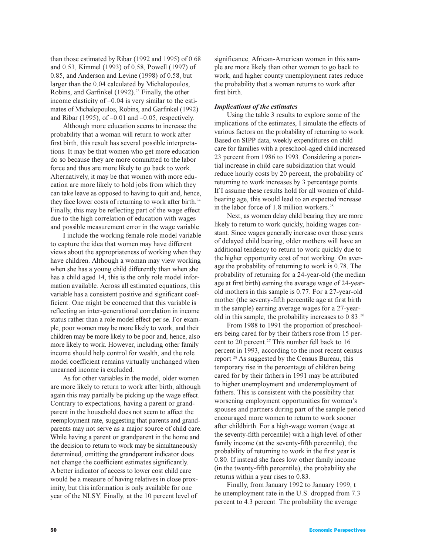than those estimated by Ribar (1992 and 1995) of 0.68 and 0.53, Kimmel (1993) of 0.58, Powell (1997) of 0.85, and Anderson and Levine (1998) of 0.58, but larger than the 0.04 calculated by Michalopoulos, Robins, and Garfinkel (1992).<sup>23</sup> Finally, the other income elasticity of  $-0.04$  is very similar to the estimates of Michalopoulos, Robins, and Garfinkel (1992) and Ribar (1995), of  $-0.01$  and  $-0.05$ , respectively.

Although more education seems to increase the probability that a woman will return to work after first birth, this result has several possible interpretations. It may be that women who get more education do so because they are more committed to the labor force and thus are more likely to go back to work. Alternatively, it may be that women with more education are more likely to hold jobs from which they can take leave as opposed to having to quit and, hence, they face lower costs of returning to work after birth.<sup>24</sup> Finally, this may be reflecting part of the wage effect due to the high correlation of education with wages and possible measurement error in the wage variable.

I include the working female role model variable to capture the idea that women may have different views about the appropriateness of working when they have children. Although a woman may view working when she has a young child differently than when she has a child aged 14, this is the only role model information available. Across all estimated equations, this variable has a consistent positive and significant coefficient. One might be concerned that this variable is reflecting an inter-generational correlation in income status rather than a role model effect per se. For example, poor women may be more likely to work, and their children may be more likely to be poor and, hence, also more likely to work. However, including other family income should help control for wealth, and the role model coefficient remains virtually unchanged when unearned income is excluded.

As for other variables in the model, older women are more likely to return to work after birth, although again this may partially be picking up the wage effect. Contrary to expectations, having a parent or grandparent in the household does not seem to affect the reemployment rate, suggesting that parents and grandparents may not serve as a major source of child care. While having a parent or grandparent in the home and the decision to return to work may be simultaneously determined, omitting the grandparent indicator does not change the coefficient estimates significantly. A better indicator of access to lower cost child care would be a measure of having relatives in close proximity, but this information is only available for one year of the NLSY. Finally, at the 10 percent level of

significance, African-American women in this sample are more likely than other women to go back to work, and higher county unemployment rates reduce the probability that a woman returns to work after first birth.

### *Implications of the estimates*

Using the table 3 results to explore some of the implications of the estimates, I simulate the effects of various factors on the probability of returning to work. Based on SIPP data, weekly expenditures on child care for families with a preschool-aged child increased 23 percent from 1986 to 1993. Considering a potential increase in child care subsidization that would reduce hourly costs by 20 percent, the probability of returning to work increases by 3 percentage points. If I assume these results hold for all women of childbearing age, this would lead to an expected increase in the labor force of 1.8 million workers.<sup>25</sup>

Next, as women delay child bearing they are more likely to return to work quickly, holding wages constant. Since wages generally increase over those years of delayed child bearing, older mothers will have an additional tendency to return to work quickly due to the higher opportunity cost of not working. On average the probability of returning to work is 0.78. The probability of returning for a 24-year-old (the median age at first birth) earning the average wage of 24-yearold mothers in this sample is 0.77. For a 27-year-old mother (the seventy-fifth percentile age at first birth in the sample) earning average wages for a 27-yearold in this sample, the probability increases to 0.83.<sup>26</sup>

From 1988 to 1991 the proportion of preschoolers being cared for by their fathers rose from 15 percent to 20 percent.<sup>27</sup> This number fell back to 16 percent in 1993, according to the most recent census report.<sup>28</sup> As suggested by the Census Bureau, this temporary rise in the percentage of children being cared for by their fathers in 1991 may be attributed to higher unemployment and underemployment of fathers. This is consistent with the possibility that worsening employment opportunities for women's spouses and partners during part of the sample period encouraged more women to return to work sooner after childbirth. For a high-wage woman (wage at the seventy-fifth percentile) with a high level of other family income (at the seventy-fifth percentile), the probability of returning to work in the first year is 0.80. If instead she faces low other family income (in the twenty-fifth percentile), the probability she returns within a year rises to 0.83.

Finally, from January 1992 to January 1999, t he unemployment rate in the U.S. dropped from 7.3 percent to 4.3 percent. The probability the average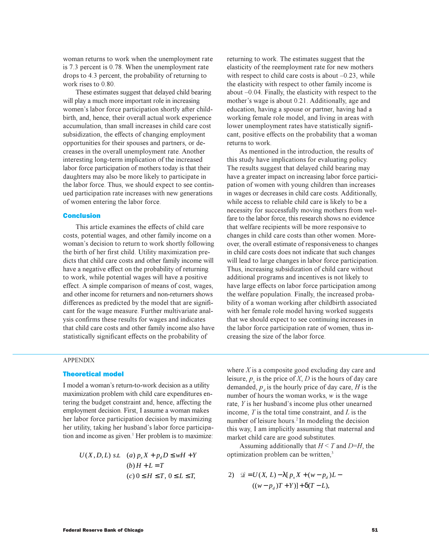woman returns to work when the unemployment rate is 7.3 percent is 0.78. When the unemployment rate drops to 4.3 percent, the probability of returning to work rises to 0.80.

These estimates suggest that delayed child bearing will play a much more important role in increasing women's labor force participation shortly after childbirth, and, hence, their overall actual work experience accumulation, than small increases in child care cost subsidization, the effects of changing employment opportunities for their spouses and partners, or decreases in the overall unemployment rate. Another interesting long-term implication of the increased labor force participation of mothers today is that their daughters may also be more likely to participate in the labor force. Thus, we should expect to see continued participation rate increases with new generations of women entering the labor force.

# Conclusion

This article examines the effects of child care costs, potential wages, and other family income on a woman's decision to return to work shortly following the birth of her first child. Utility maximization predicts that child care costs and other family income will have a negative effect on the probability of returning to work, while potential wages will have a positive effect. A simple comparison of means of cost, wages, and other income for returners and non-returners shows differences as predicted by the model that are significant for the wage measure. Further multivariate analysis confirms these results for wages and indicates that child care costs and other family income also have statistically significant effects on the probability of

returning to work. The estimates suggest that the elasticity of the reemployment rate for new mothers with respect to child care costs is about  $-0.23$ , while the elasticity with respect to other family income is about  $-0.04$ . Finally, the elasticity with respect to the mother's wage is about 0.21. Additionally, age and education, having a spouse or partner, having had a working female role model, and living in areas with lower unemployment rates have statistically significant, positive effects on the probability that a woman returns to work.

As mentioned in the introduction, the results of this study have implications for evaluating policy. The results suggest that delayed child bearing may have a greater impact on increasing labor force participation of women with young children than increases in wages or decreases in child care costs. Additionally, while access to reliable child care is likely to be a necessity for successfully moving mothers from welfare to the labor force, this research shows no evidence that welfare recipients will be more responsive to changes in child care costs than other women. Moreover, the overall estimate of responsiveness to changes in child care costs does not indicate that such changes will lead to large changes in labor force participation. Thus, increasing subsidization of child care without additional programs and incentives is not likely to have large effects on labor force participation among the welfare population. Finally, the increased probability of a woman working after childbirth associated with her female role model having worked suggests that we should expect to see continuing increases in the labor force participation rate of women, thus increasing the size of the labor force.

### APPENDIX

# Theoretical model

I model a woman's return-to-work decision as a utility maximization problem with child care expenditures entering the budget constraint and, hence, affecting the employment decision. First, I assume a woman makes her labor force participation decision by maximizing her utility, taking her husband's labor force participation and income as given.<sup>1</sup> Her problem is to maximize:

$$
U(X, D, L) \text{ s.t. } (a) p_x X + p_d D \le wH + Y
$$
  
\n
$$
(b) H + L = T
$$
  
\n
$$
(c) 0 \le H \le T, 0 \le L \le T,
$$

where *X* is a composite good excluding day care and leisure,  $p_x$  is the price of *X*, *D* is the hours of day care demanded,  $p_d$  is the hourly price of day care, *H* is the number of hours the woman works, *w* is the wage rate,  $Y$  is her husband's income plus other unearned income, *T* is the total time constraint, and *L* is the number of leisure hours.<sup>2</sup> In modeling the decision this way, I am implicitly assuming that maternal and market child care are good substitutes.

Assuming additionally that  $H \leq T$  and  $D=H$ , the optimization problem can be written,<sup>3</sup>

2) 
$$
\mathcal{L} = U(X, L) - \lambda [p_x X + (w - p_d) L - (w - p_d) T + Y)] + \delta (T - L),
$$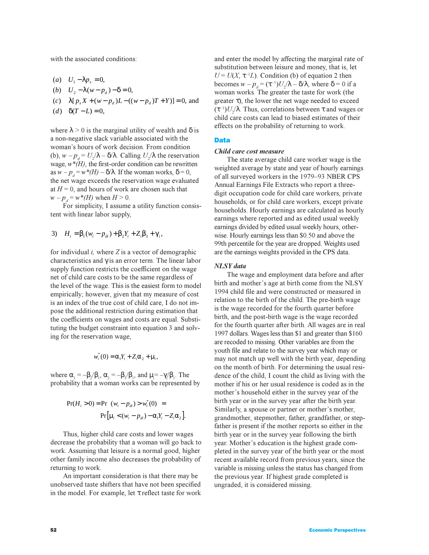with the associated conditions:

- (*a*)  $U_1 \lambda p_x = 0$ ,
- (*b*)  $U_2 \lambda (w p_d) \delta = 0,$
- $(c)$   $\lambda [p_x X + (w p_d)L ((w p_d)T + Y)] = 0$ , and
- $(d) \quad \delta(T L) = 0,$

where  $\lambda > 0$  is the marginal utility of wealth and  $\delta$  is a non-negative slack variable associated with the woman's hours of work decision. From condition (b),  $w - p_d = U_2 / \lambda - \delta / \lambda$ . Calling  $U_2 / \lambda$  the reservation wage,  $w^*(H)$ , the first-order condition can be rewritten as  $w - p_d = w^*(H) - \delta/\lambda$ . If the woman works,  $\delta = 0$ , the net wage exceeds the reservation wage evaluated at  $H = 0$ , and hours of work are chosen such that  $w - p_d = w^*(H)$  when  $H > 0$ .

For simplicity, I assume a utility function consistent with linear labor supply,

3) 
$$
H_i = \beta_1 (w_i - p_{di}) + \beta_2 Y_i + Z_i \beta_3 + \gamma_i
$$
,

for individual *i,* where *Z* is a vector of demographic characteristics and  $\gamma$  is an error term. The linear labor supply function restricts the coefficient on the wage net of child care costs to be the same regardless of the level of the wage. This is the easiest form to model empirically; however, given that my measure of cost is an index of the true cost of child care, I do not impose the additional restriction during estimation that the coefficients on wages and costs are equal. Substituting the budget constraint into equation 3 and solving for the reservation wage,

$$
w_i^*(0) = \alpha_1 Y_i + Z_i \alpha_2 + \mu_i,
$$

where  $\alpha_1 = -\beta_2/\beta_1$ ,  $\alpha_2 = -\beta_3/\beta_1$ , and  $\mu_i = -\gamma/\beta_1$ . The probability that a woman works can be represented by

$$
Pr(H_i > 0) = Pr[(w_i - p_{di}) > w_i^*(0)] =
$$
  
 
$$
Pr[u_i < (w_i - p_{di}) - \alpha_1 Y_i - Z_i \alpha_2].
$$

Thus, higher child care costs and lower wages decrease the probability that a woman will go back to work. Assuming that leisure is a normal good, higher other family income also decreases the probability of returning to work.

An important consideration is that there may be unobserved taste shifters that have not been specified in the model. For example, let τ reflect taste for work and enter the model by affecting the marginal rate of substitution between leisure and money, that is, let  $U = U(X, \tau^{-1}L)$ . Condition (b) of equation 2 then becomes  $w - p_d = (\tau^{-1})U_2/\lambda - \delta/\lambda$ , where  $\delta = 0$  if a woman works. The greater the taste for work (the greater  $\tau$ ), the lower the net wage needed to exceed  $(\tau^{-1})U_2/\lambda$ . Thus, correlations between  $\tau$  and wages or child care costs can lead to biased estimates of their effects on the probability of returning to work.

# Data

# *Child care cost measure*

The state average child care worker wage is the weighted average by state and year of hourly earnings of all surveyed workers in the 1979-93 NBER CPS Annual Earnings File Extracts who report a threedigit occupation code for child care workers, private households, or for child care workers, except private households. Hourly earnings are calculated as hourly earnings where reported and as edited usual weekly earnings divided by edited usual weekly hours, otherwise. Hourly earnings less than \$0.50 and above the 99th percentile for the year are dropped. Weights used are the earnings weights provided in the CPS data.

### *NLSY data*

The wage and employment data before and after birth and mother's age at birth come from the NLSY 1994 child file and were constructed or measured in relation to the birth of the child. The pre-birth wage is the wage recorded for the fourth quarter before birth, and the post-birth wage is the wage recorded for the fourth quarter after birth. All wages are in real 1997 dollars. Wages less than \$1 and greater than \$160 are recoded to missing. Other variables are from the youth file and relate to the survey year which may or may not match up well with the birth year, depending on the month of birth. For determining the usual residence of the child, I count the child as living with the mother if his or her usual residence is coded as in the mother's household either in the survey year of the birth year or in the survey year after the birth year. Similarly, a spouse or partner or mother's mother, grandmother, stepmother, father, grandfather, or stepfather is present if the mother reports so either in the birth year or in the survey year following the birth year. Mother's education is the highest grade completed in the survey year of the birth year or the most recent available record from previous years, since the variable is missing unless the status has changed from the previous year. If highest grade completed is ungraded, it is considered missing.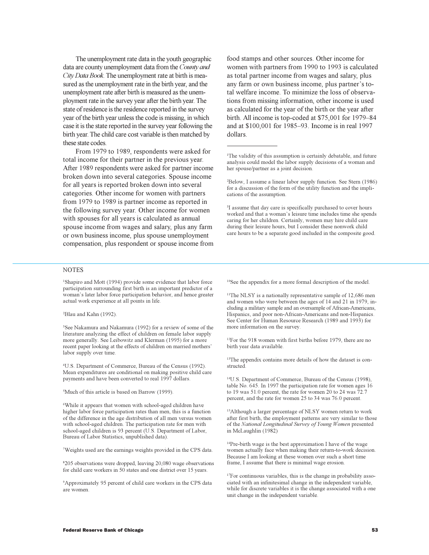The unemployment rate data in the youth geographic data are county unemployment data from the *County and City Data Book*. The unemployment rate at birth is measured as the unemployment rate in the birth year, and the unemployment rate after birth is measured as the unemployment rate in the survey year after the birth year. The state of residence is the residence reported in the survey year of the birth year unless the code is missing, in which case it is the state reported in the survey year following the birth year. The child care cost variable is then matched by these state codes.

From 1979 to 1989, respondents were asked for total income for their partner in the previous year. After 1989 respondents were asked for partner income broken down into several categories. Spouse income for all years is reported broken down into several categories. Other income for women with partners from 1979 to 1989 is partner income as reported in the following survey year. Other income for women with spouses for all years is calculated as annual spouse income from wages and salary, plus any farm or own business income, plus spouse unemployment compensation, plus respondent or spouse income from food stamps and other sources. Other income for women with partners from 1990 to 1993 is calculated as total partner income from wages and salary, plus any farm or own business income, plus partner's total welfare income. To minimize the loss of observations from missing information, other income is used as calculated for the year of the birth or the year after birth. All income is top-coded at  $$75,001$  for  $1979-84$ and at \$100,001 for 1985–93. Income is in real 1997 dollars.

1 The validity of this assumption is certainly debatable, and future analysis could model the labor supply decisions of a woman and her spouse/partner as a joint decision.

2 Below, I assume a linear labor supply function. See Stern (1986) for a discussion of the form of the utility function and the implications of the assumption.

<sup>3</sup>I assume that day care is specifically purchased to cover hours worked and that a woman's leisure time includes time she spends caring for her children. Certainly, women may hire child care during their leisure hours, but I consider these nonwork child care hours to be a separate good included in the composite good.

#### **NOTES**

<sup>1</sup>Shapiro and Mott (1994) provide some evidence that labor force participation surrounding first birth is an important predictor of a woman's later labor force participation behavior, and hence greater actual work experience at all points in life.

2 Blau and Kahn (1992).

3 See Nakamura and Nakamura (1992) for a review of some of the literature analyzing the effect of children on female labor supply more generally. See Leibowitz and Klerman (1995) for a more recent paper looking at the effects of children on married mothers labor supply over time.

4 U.S. Department of Commerce, Bureau of the Census (1992). Mean expenditures are conditional on making positive child care payments and have been converted to real 1997 dollars.

5 Much of this article is based on Barrow (1999).

6 While it appears that women with school-aged children have higher labor force participation rates than men, this is a function of the difference in the age distribution of all men versus women with school-aged children. The participation rate for men with school-aged children is 93 percent (U.S. Department of Labor, Bureau of Labor Statistics, unpublished data).

7 Weights used are the earnings weights provided in the CPS data.

8 205 observations were dropped, leaving 20,080 wage observations for child care workers in 50 states and one district over 15 years.

9 Approximately 95 percent of child care workers in the CPS data are women.

<sup>10</sup>See the appendix for a more formal description of the model.

<sup>11</sup>The NLSY is a nationally representative sample of 12,686 men and women who were between the ages of 14 and 21 in 1979, including a military sample and an oversample of African-Americans, Hispanics, and poor non-African-Americans and non-Hispanics. See Center for Human Resource Research (1989 and 1993) for more information on the survey.

<sup>12</sup>For the 918 women with first births before 1979, there are no birth year data available.

<sup>13</sup>The appendix contains more details of how the dataset is constructed.

<sup>14</sup>U.S. Department of Commerce, Bureau of the Census (1998), table No. 645. In 1997 the participation rate for women ages 16 to 19 was 51.0 percent, the rate for women 20 to 24 was 72.7 percent, and the rate for women 25 to 34 was 76.0 percent.

<sup>15</sup>Although a larger percentage of NLSY women return to work after first birth, the employment patterns are very similar to those of the *National Longitudinal Survey of Young Women* presented in McLaughlin (1982)

<sup>16</sup>Pre-birth wage is the best approximation I have of the wage women actually face when making their return-to-work decision. Because I am looking at these women over such a short time frame, I assume that there is minimal wage erosion.

<sup>17</sup>For continuous variables, this is the change in probability associated with an infinitesimal change in the independent variable, while for discrete variables it is the change associated with a one unit change in the independent variable.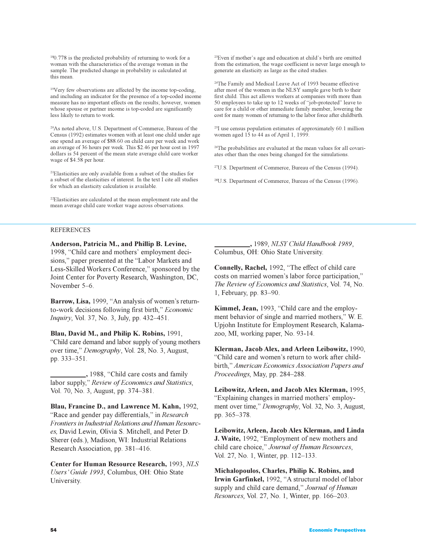<sup>18</sup>0.778 is the predicted probability of returning to work for a woman with the characteristics of the average woman in the sample. The predicted change in probability is calculated at this mean.

<sup>19</sup>Very few observations are affected by the income top-coding, and including an indicator for the presence of a top-coded income measure has no important effects on the results; however, women whose spouse or partner income is top-coded are significantly less likely to return to work.

<sup>20</sup>As noted above, U.S. Department of Commerce, Bureau of the Census (1992) estimates women with at least one child under age one spend an average of \$88.60 on child care per week and work an average of 36 hours per week. This \$2.46 per hour cost in 1997 dollars is 54 percent of the mean state average child care worker wage of \$4.58 per hour.

<sup>21</sup>Elasticities are only available from a subset of the studies for a subset of the elasticities of interest. In the text I cite all studies for which an elasticity calculation is available.

<sup>22</sup>Elasticities are calculated at the mean employment rate and the mean average child care worker wage across observations.

#### REFERENCES

**Anderson, Patricia M., and Phillip B. Levine,**

1998, "Child care and mothers' employment decisions," paper presented at the "Labor Markets and Less-Skilled Workers Conference," sponsored by the Joint Center for Poverty Research, Washington, DC, November 5-6.

Barrow, Lisa, 1999, "An analysis of women's returnto-work decisions following first birth, *Economic Inquiry*, Vol. 37, No. 3, July, pp. 432-451.

**Blau, David M., and Philip K. Robins,** 1991, Child care demand and labor supply of young mothers over time," Demography, Vol. 28, No. 3, August, pp. 333-351.

1988, "Child care costs and family labor supply," Review of Economics and Statistics, Vol. 70, No. 3, August, pp. 374–381.

**Blau, Francine D., and Lawrence M. Kahn,** 1992, "Race and gender pay differentials," in *Research Frontiers in Industrial Relations and Human Resources,* David Lewin, Olivia S. Mitchell, and Peter D. Sherer (eds.), Madison, WI: Industrial Relations Research Association, pp. 381-416.

**Center for Human Resource Research,** 1993, *NLS Users Guide 1993*, Columbus, OH: Ohio State University.

<sup>23</sup>Even if mother's age and education at child's birth are omitted from the estimation, the wage coefficient is never large enough to generate an elasticity as large as the cited studies.

<sup>24</sup>The Family and Medical Leave Act of 1993 became effective after most of the women in the NLSY sample gave birth to their first child. This act allows workers at companies with more than 50 employees to take up to 12 weeks of "job-protected" leave to care for a child or other immediate family member, lowering the cost for many women of returning to the labor force after childbirth.

<sup>25</sup>I use census population estimates of approximately 60.1 million women aged 15 to 44 as of April 1, 1999.

<sup>26</sup>The probabilities are evaluated at the mean values for all covariates other than the ones being changed for the simulations.

<sup>27</sup>U.S. Department of Commerce, Bureau of the Census (1994).

<sup>28</sup>U.S. Department of Commerce, Bureau of the Census (1996).

 **,** 1989, *NLSY Child Handbook 1989*, Columbus, OH: Ohio State University.

**Connelly, Rachel,** 1992, "The effect of child care costs on married women's labor force participation," *The Review of Economics and Statistics*, Vol. 74, No. 1, February, pp. 83-90.

Kimmel, Jean, 1993, "Child care and the employment behavior of single and married mothers," W. E. Upjohn Institute for Employment Research, Kalamazoo, MI, working paper, No. 93-14.

**Klerman, Jacob Alex, and Arleen Leibowitz,** 1990, "Child care and women's return to work after childbirth, *American Economics Association Papers and* Proceedings, May, pp. 284-288.

**Leibowitz, Arleen, and Jacob Alex Klerman,** 1995, "Explaining changes in married mothers' employment over time," *Demography*, Vol. 32, No. 3, August, pp. 365-378.

**Leibowitz, Arleen, Jacob Alex Klerman, and Linda J. Waite,** 1992, "Employment of new mothers and child care choice," Journal of Human Resources, Vol. 27, No. 1, Winter, pp. 112–133.

**Michalopoulos, Charles, Philip K. Robins, and Irwin Garfinkel,** 1992, "A structural model of labor supply and child care demand," *Journal of Human Resources*, Vol. 27, No. 1, Winter, pp. 166-203.